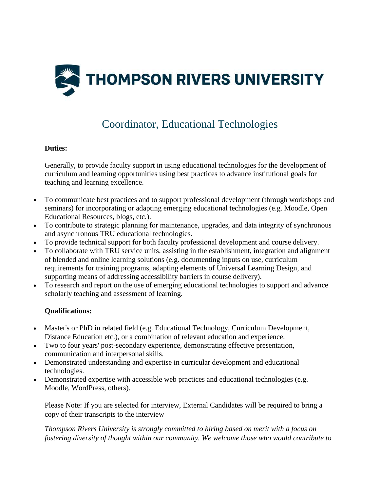

## Coordinator, Educational Technologies

## **Duties:**

Generally, to provide faculty support in using educational technologies for the development of curriculum and learning opportunities using best practices to advance institutional goals for teaching and learning excellence.

- To communicate best practices and to support professional development (through workshops and seminars) for incorporating or adapting emerging educational technologies (e.g. Moodle, Open Educational Resources, blogs, etc.).
- To contribute to strategic planning for maintenance, upgrades, and data integrity of synchronous and asynchronous TRU educational technologies.
- To provide technical support for both faculty professional development and course delivery.
- To collaborate with TRU service units, assisting in the establishment, integration and alignment of blended and online learning solutions (e.g. documenting inputs on use, curriculum requirements for training programs, adapting elements of Universal Learning Design, and supporting means of addressing accessibility barriers in course delivery).
- To research and report on the use of emerging educational technologies to support and advance scholarly teaching and assessment of learning.

## **Qualifications:**

- Master's or PhD in related field (e.g. Educational Technology, Curriculum Development, Distance Education etc.), or a combination of relevant education and experience.
- Two to four years' post-secondary experience, demonstrating effective presentation, communication and interpersonal skills.
- Demonstrated understanding and expertise in curricular development and educational technologies.
- Demonstrated expertise with accessible web practices and educational technologies (e.g. Moodle, WordPress, others).

Please Note: If you are selected for interview, External Candidates will be required to bring a copy of their transcripts to the interview

*Thompson Rivers University is strongly committed to hiring based on merit with a focus on fostering diversity of thought within our community. We welcome those who would contribute to*